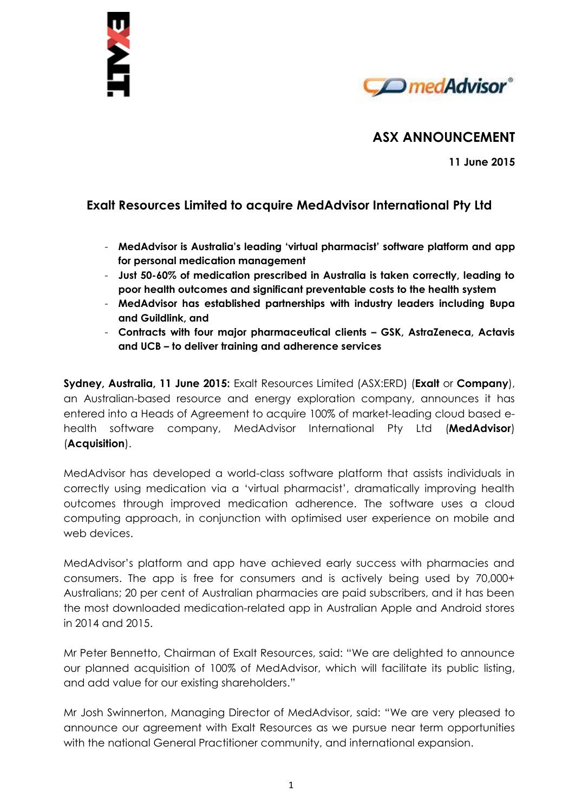



# **ASX ANNOUNCEMENT**

**11 June 2015**

# **Exalt Resources Limited to acquire MedAdvisor International Pty Ltd**

- **MedAdvisor is Australia's leading 'virtual pharmacist' software platform and app for personal medication management**
- **Just 50-60% of medication prescribed in Australia is taken correctly, leading to poor health outcomes and significant preventable costs to the health system**
- **MedAdvisor has established partnerships with industry leaders including Bupa and Guildlink, and**
- **Contracts with four major pharmaceutical clients – GSK, AstraZeneca, Actavis and UCB – to deliver training and adherence services**

**Sydney, Australia, 11 June 2015:** Exalt Resources Limited (ASX:ERD) (**Exalt** or **Company**), an Australian-based resource and energy exploration company, announces it has entered into a Heads of Agreement to acquire 100% of market-leading cloud based ehealth software company, MedAdvisor International Pty Ltd (**MedAdvisor**) (**Acquisition**).

MedAdvisor has developed a world-class software platform that assists individuals in correctly using medication via a 'virtual pharmacist', dramatically improving health outcomes through improved medication adherence. The software uses a cloud computing approach, in conjunction with optimised user experience on mobile and web devices.

MedAdvisor's platform and app have achieved early success with pharmacies and consumers. The app is free for consumers and is actively being used by 70,000+ Australians; 20 per cent of Australian pharmacies are paid subscribers, and it has been the most downloaded medication-related app in Australian Apple and Android stores in 2014 and 2015.

Mr Peter Bennetto, Chairman of Exalt Resources, said: "We are delighted to announce our planned acquisition of 100% of MedAdvisor, which will facilitate its public listing, and add value for our existing shareholders."

Mr Josh Swinnerton, Managing Director of MedAdvisor, said: "We are very pleased to announce our agreement with Exalt Resources as we pursue near term opportunities with the national General Practitioner community, and international expansion.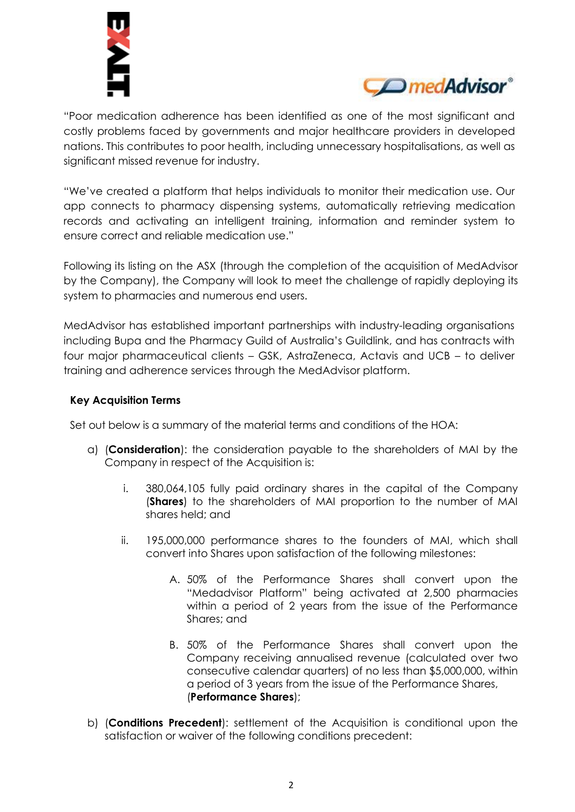



"Poor medication adherence has been identified as one of the most significant and costly problems faced by governments and major healthcare providers in developed nations. This contributes to poor health, including unnecessary hospitalisations, as well as significant missed revenue for industry.

"We've created a platform that helps individuals to monitor their medication use. Our app connects to pharmacy dispensing systems, automatically retrieving medication records and activating an intelligent training, information and reminder system to ensure correct and reliable medication use."

Following its listing on the ASX (through the completion of the acquisition of MedAdvisor by the Company), the Company will look to meet the challenge of rapidly deploying its system to pharmacies and numerous end users.

MedAdvisor has established important partnerships with industry-leading organisations including Bupa and the Pharmacy Guild of Australia's Guildlink, and has contracts with four major pharmaceutical clients – GSK, AstraZeneca, Actavis and UCB – to deliver training and adherence services through the MedAdvisor platform.

# **Key Acquisition Terms**

Set out below is a summary of the material terms and conditions of the HOA:

- a) (**Consideration**): the consideration payable to the shareholders of MAI by the Company in respect of the Acquisition is:
	- i. 380,064,105 fully paid ordinary shares in the capital of the Company (**Shares**) to the shareholders of MAI proportion to the number of MAI shares held; and
	- ii. 195,000,000 performance shares to the founders of MAI, which shall convert into Shares upon satisfaction of the following milestones:
		- A. 50% of the Performance Shares shall convert upon the "Medadvisor Platform" being activated at 2,500 pharmacies within a period of 2 years from the issue of the Performance Shares; and
		- B. 50% of the Performance Shares shall convert upon the Company receiving annualised revenue (calculated over two consecutive calendar quarters) of no less than \$5,000,000, within a period of 3 years from the issue of the Performance Shares, (**Performance Shares**);
- b) (**Conditions Precedent**): settlement of the Acquisition is conditional upon the satisfaction or waiver of the following conditions precedent: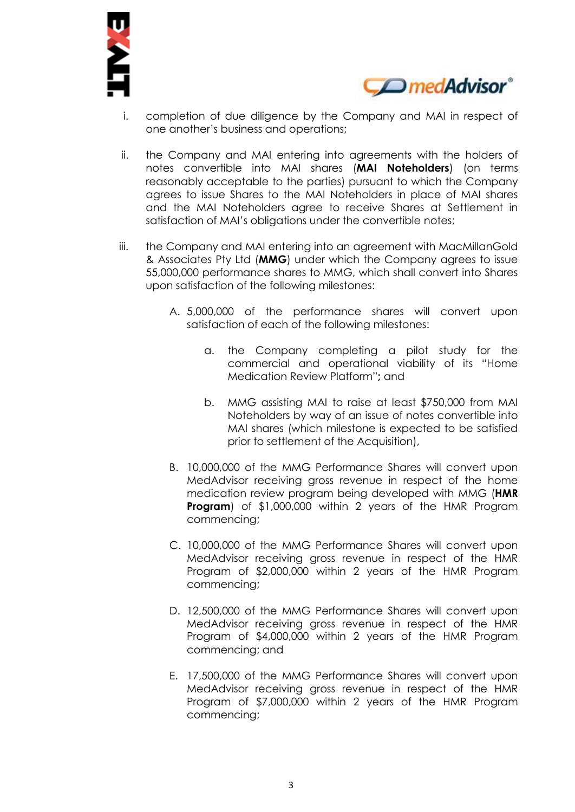



- i. completion of due diligence by the Company and MAI in respect of one another's business and operations;
- ii. the Company and MAI entering into agreements with the holders of notes convertible into MAI shares (**MAI Noteholders**) (on terms reasonably acceptable to the parties) pursuant to which the Company agrees to issue Shares to the MAI Noteholders in place of MAI shares and the MAI Noteholders agree to receive Shares at Settlement in satisfaction of MAI's obligations under the convertible notes;
- iii. the Company and MAI entering into an agreement with MacMillanGold & Associates Pty Ltd (**MMG**) under which the Company agrees to issue 55,000,000 performance shares to MMG, which shall convert into Shares upon satisfaction of the following milestones:
	- A. 5,000,000 of the performance shares will convert upon satisfaction of each of the following milestones:
		- a. the Company completing a pilot study for the commercial and operational viability of its "Home Medication Review Platform"**;** and
		- b. MMG assisting MAI to raise at least \$750,000 from MAI Noteholders by way of an issue of notes convertible into MAI shares (which milestone is expected to be satisfied prior to settlement of the Acquisition),
	- B. 10,000,000 of the MMG Performance Shares will convert upon MedAdvisor receiving gross revenue in respect of the home medication review program being developed with MMG (**HMR Program**) of \$1,000,000 within 2 years of the HMR Program commencing;
	- C. 10,000,000 of the MMG Performance Shares will convert upon MedAdvisor receiving gross revenue in respect of the HMR Program of \$2,000,000 within 2 years of the HMR Program commencing;
	- D. 12,500,000 of the MMG Performance Shares will convert upon MedAdvisor receiving gross revenue in respect of the HMR Program of \$4,000,000 within 2 years of the HMR Program commencing; and
	- E. 17,500,000 of the MMG Performance Shares will convert upon MedAdvisor receiving gross revenue in respect of the HMR Program of \$7,000,000 within 2 years of the HMR Program commencing;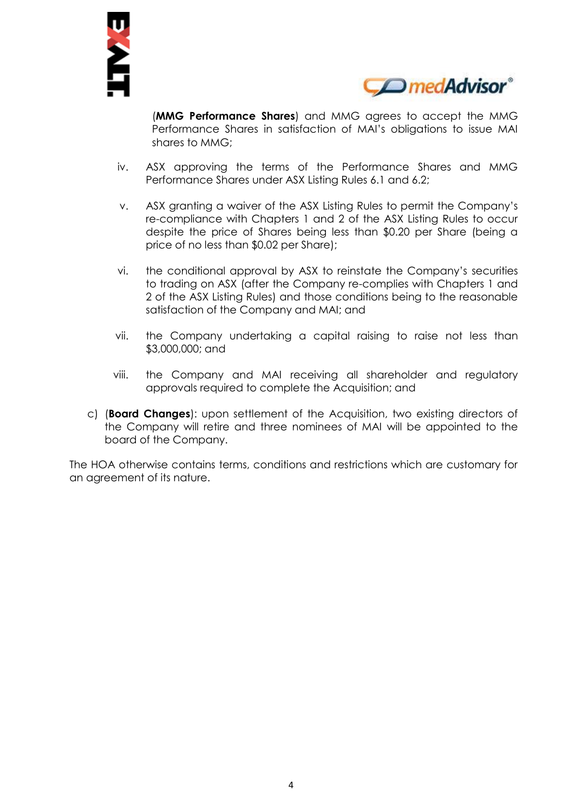



(**MMG Performance Shares**) and MMG agrees to accept the MMG Performance Shares in satisfaction of MAI's obligations to issue MAI shares to MMG;

- iv. ASX approving the terms of the Performance Shares and MMG Performance Shares under ASX Listing Rules 6.1 and 6.2;
- v. ASX granting a waiver of the ASX Listing Rules to permit the Company's re-compliance with Chapters 1 and 2 of the ASX Listing Rules to occur despite the price of Shares being less than \$0.20 per Share (being a price of no less than \$0.02 per Share);
- vi. the conditional approval by ASX to reinstate the Company's securities to trading on ASX (after the Company re-complies with Chapters 1 and 2 of the ASX Listing Rules) and those conditions being to the reasonable satisfaction of the Company and MAI; and
- vii. the Company undertaking a capital raising to raise not less than \$3,000,000; and
- viii. the Company and MAI receiving all shareholder and regulatory approvals required to complete the Acquisition; and
- c) (**Board Changes**): upon settlement of the Acquisition, two existing directors of the Company will retire and three nominees of MAI will be appointed to the board of the Company.

The HOA otherwise contains terms, conditions and restrictions which are customary for an agreement of its nature.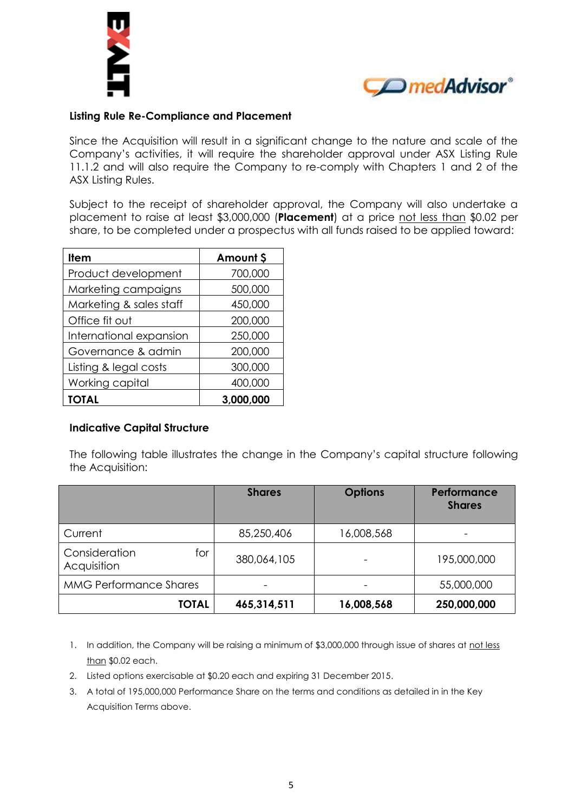



# **Listing Rule Re-Compliance and Placement**

Since the Acquisition will result in a significant change to the nature and scale of the Company's activities, it will require the shareholder approval under ASX Listing Rule 11.1.2 and will also require the Company to re-comply with Chapters 1 and 2 of the ASX Listing Rules.

Subject to the receipt of shareholder approval, the Company will also undertake a placement to raise at least \$3,000,000 (**Placement**) at a price not less than \$0.02 per share, to be completed under a prospectus with all funds raised to be applied toward:

| <b>Item</b>             | Amount \$ |
|-------------------------|-----------|
| Product development     | 700,000   |
| Marketing campaigns     | 500,000   |
| Marketing & sales staff | 450,000   |
| Office fit out          | 200,000   |
| International expansion | 250,000   |
| Governance & admin      | 200,000   |
| Listing & legal costs   | 300,000   |
| Working capital         | 400,000   |
| <b>TOTAL</b>            | 3,000,000 |

### **Indicative Capital Structure**

The following table illustrates the change in the Company's capital structure following the Acquisition:

|                                     | <b>Shares</b> | <b>Options</b> | Performance<br><b>Shares</b> |
|-------------------------------------|---------------|----------------|------------------------------|
| Current                             | 85,250,406    | 16,008,568     | $\overline{\phantom{0}}$     |
| Consideration<br>for<br>Acquisition | 380,064,105   |                | 195,000,000                  |
| <b>MMG Performance Shares</b>       |               |                | 55,000,000                   |
| <b>TOTAL</b>                        | 465,314,511   | 16,008,568     | 250,000,000                  |

- 1. In addition, the Company will be raising a minimum of \$3,000,000 through issue of shares at not less than \$0.02 each.
- 2. Listed options exercisable at \$0.20 each and expiring 31 December 2015.
- 3. A total of 195,000,000 Performance Share on the terms and conditions as detailed in in the Key Acquisition Terms above.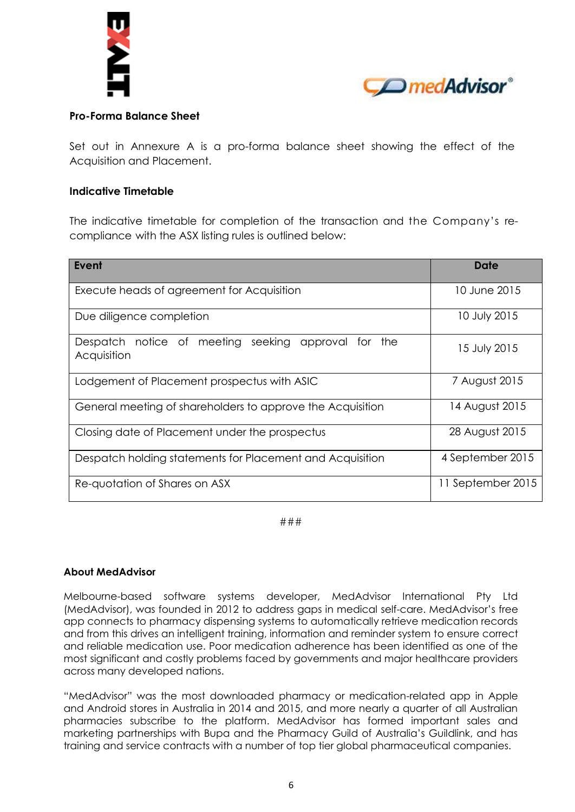



## **Pro-Forma Balance Sheet**

Set out in Annexure A is a pro-forma balance sheet showing the effect of the Acquisition and Placement.

### **Indicative Timetable**

The indicative timetable for completion of the transaction and the Company's recompliance with the ASX listing rules is outlined below:

| Event                                                                       | Date              |  |
|-----------------------------------------------------------------------------|-------------------|--|
| Execute heads of agreement for Acquisition                                  | 10 June 2015      |  |
| Due diligence completion                                                    | 10 July 2015      |  |
| Despatch notice of meeting seeking<br>approval<br>the<br>tor<br>Acquisition | 15 July 2015      |  |
| Lodgement of Placement prospectus with ASIC                                 | 7 August 2015     |  |
| General meeting of shareholders to approve the Acquisition                  | 14 August 2015    |  |
| Closing date of Placement under the prospectus                              | 28 August 2015    |  |
| Despatch holding statements for Placement and Acquisition                   | 4 September 2015  |  |
| Re-quotation of Shares on ASX                                               | 11 September 2015 |  |

###

#### **About MedAdvisor**

Melbourne-based software systems developer, MedAdvisor International Pty Ltd (MedAdvisor), was founded in 2012 to address gaps in medical self-care. MedAdvisor's free app connects to pharmacy dispensing systems to automatically retrieve medication records and from this drives an intelligent training, information and reminder system to ensure correct and reliable medication use. Poor medication adherence has been identified as one of the most significant and costly problems faced by governments and major healthcare providers across many developed nations.

"MedAdvisor" was the most downloaded pharmacy or medication-related app in Apple and Android stores in Australia in 2014 and 2015, and more nearly a quarter of all Australian pharmacies subscribe to the platform. MedAdvisor has formed important sales and marketing partnerships with Bupa and the Pharmacy Guild of Australia's Guildlink, and has training and service contracts with a number of top tier global pharmaceutical companies.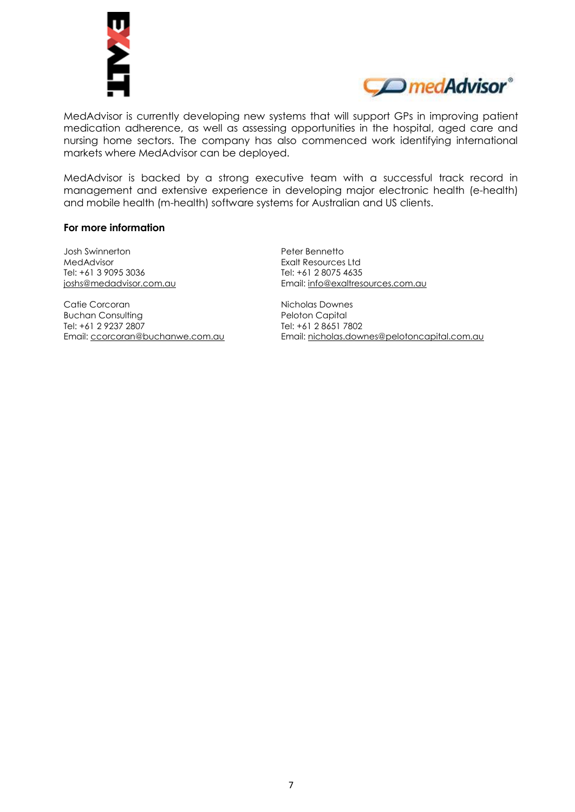



MedAdvisor is currently developing new systems that will support GPs in improving patient medication adherence, as well as assessing opportunities in the hospital, aged care and nursing home sectors. The company has also commenced work identifying international markets where MedAdvisor can be deployed.

MedAdvisor is backed by a strong executive team with a successful track record in management and extensive experience in developing major electronic health (e-health) and mobile health (m-health) software systems for Australian and US clients.

#### **For more information**

Josh Swinnerton MedAdvisor Tel: +61 3 9095 3036 [joshs@medadvisor.com.au](mailto:joshs@medadvisor.com.au)

Catie Corcoran Buchan Consulting Tel: +61 2 9237 2807 Email: [ccorcoran@buchanwe.com.au](mailto:ccorcoran@buchanwe.com.au) Peter Bennetto Exalt Resources Ltd Tel: +61 2 8075 4635 Email: [info@exaltresources.com.au](mailto:info@exaltresources.com.au)

Nicholas Downes Peloton Capital Tel: +61 2 8651 7802 Email: [nicholas.downes@pelotoncapital.com.au](mailto:nicholas.downes@pelotoncapital.com.au)